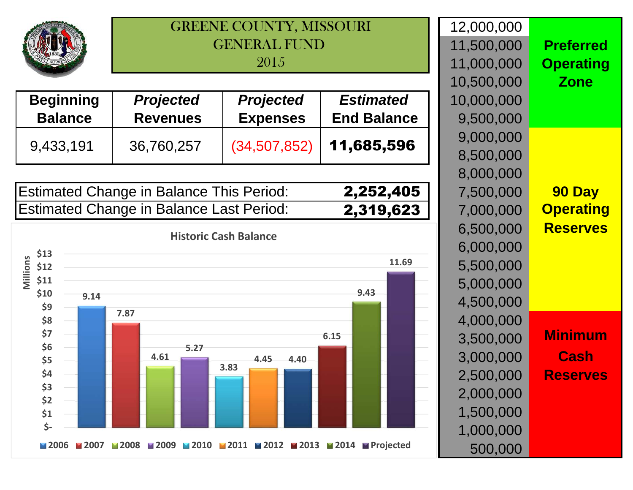## GREENE COUNTY, MISSOURIGENERAL FUND 2015

| <b>Beginning</b> | <b>Projected</b> | <b>Projected</b> | <b>Estimated</b>   | 10,000,000 |
|------------------|------------------|------------------|--------------------|------------|
| <b>Balance</b>   | <b>Revenues</b>  | <b>Expenses</b>  | <b>End Balance</b> | 9,500,000  |
|                  |                  |                  |                    | 9,000,000  |
| 9,433,191        | 36,760,257       | (34,507,852)     | 11,685,596         | 8,500,000  |

| <b>Estimated Change in Balance This Period:</b> | 2,252,405 |
|-------------------------------------------------|-----------|
| Estimated Change in Balance Last Period:        | 2,319,623 |

**Historic Cash Balance**



|               | 12,000,000 |                  |
|---------------|------------|------------------|
|               | 11,500,000 | <b>Preferred</b> |
|               | 11,000,000 | <b>Operating</b> |
|               | 10,500,000 | <b>Zone</b>      |
|               | 10,000,000 |                  |
| е             | 9,500,000  |                  |
|               | 9,000,000  |                  |
| ć             | 8,500,000  |                  |
|               | 8,000,000  |                  |
|               | 7,500,000  | <b>90 Day</b>    |
| $\frac{5}{3}$ | 7,000,000  | <b>Operating</b> |
|               | 6,500,000  | <b>Reserves</b>  |
|               | 6,000,000  |                  |
|               | 5,500,000  |                  |
|               | 5,000,000  |                  |
|               | 4,500,000  |                  |
|               | 4,000,000  |                  |
|               | 3,500,000  | <b>Minimum</b>   |
|               | 3,000,000  | <b>Cash</b>      |
|               | 2,500,000  | <b>Reserves</b>  |
|               | 2,000,000  |                  |
|               | 1,500,000  |                  |
|               |            |                  |
|               | 1,000,000  |                  |
|               | 500,000    |                  |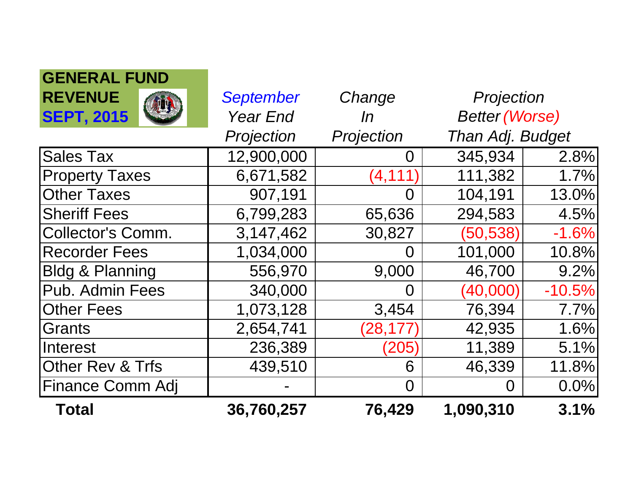| <b>Total</b>                | 36,760,257       | 76,429     | 1,090,310             | 3.1%     |
|-----------------------------|------------------|------------|-----------------------|----------|
| <b>Finance Comm Adj</b>     |                  | $\Omega$   | O                     | 0.0%     |
| <b>Other Rev &amp; Trfs</b> | 439,510          | 6          | 46,339                | 11.8%    |
| Interest                    | 236,389          | (205)      | 11,389                | 5.1%     |
| Grants                      | 2,654,741        | (28, 177   | 42,935                | 1.6%     |
| <b>Other Fees</b>           | 1,073,128        | 3,454      | 76,394                | 7.7%     |
| Pub. Admin Fees             | 340,000          | O          | (40,000)              | $-10.5%$ |
| <b>Bldg &amp; Planning</b>  | 556,970          | 9,000      | 46,700                | 9.2%     |
| <b>Recorder Fees</b>        | 1,034,000        | O          | 101,000               | 10.8%    |
| <b>Collector's Comm.</b>    | 3,147,462        | 30,827     | (50, 538)             | $-1.6%$  |
| <b>Sheriff Fees</b>         | 6,799,283        | 65,636     | 294,583               | 4.5%     |
| <b>Other Taxes</b>          | 907,191          | O          | 104,191               | 13.0%    |
| <b>Property Taxes</b>       | 6,671,582        | (4, 111)   | 111,382               | 1.7%     |
| <b>Sales Tax</b>            | 12,900,000       | O          | 345,934               | 2.8%     |
|                             | Projection       | Projection | Than Adj. Budget      |          |
| <b>SEPT, 2015</b>           | <b>Year End</b>  | In         | <b>Better (Worse)</b> |          |
| <b>REVENUE</b>              | <b>September</b> | Change     | Projection            |          |
| ULIILI\AL I VIIV            |                  |            |                       |          |

**GENERAL FUND**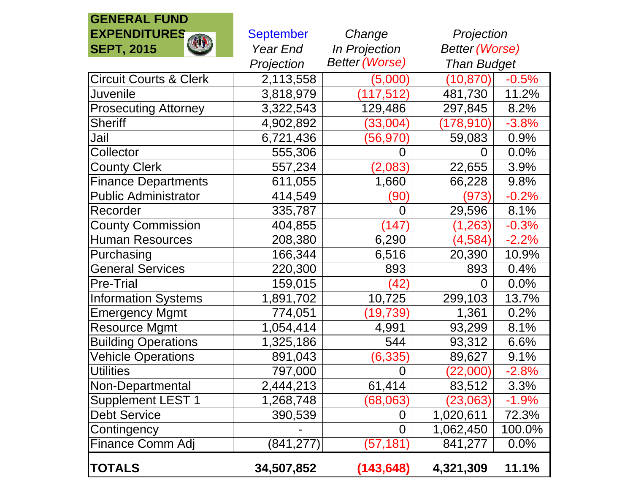## **GENERAL FUNDEXPENDITURESSEPT, 2015**

| <b>September</b>                    | Change               | Projection            |         |
|-------------------------------------|----------------------|-----------------------|---------|
| Year End                            | <b>In Projection</b> | <b>Better (Worse)</b> |         |
| <b>Better (Worse)</b><br>Projection |                      | <b>Than Budget</b>    |         |
| 2,113,558                           | (5,000)              | (10, 870)             | $-0.5%$ |
| 3,818,979                           | (117, 512)           | 481,730               | 11.2%   |
| 3,322,543                           | 129,486              | 297,845               | 8.2%    |
| 4,902,892                           | (33,004)             | (178,910)             | $-3.8%$ |
| 6,721,436                           | (56,970)             | 59,083                | 0.9%    |
| 555,306                             | 0                    | 0                     | 0.0%    |
| 557,234                             | (2,083)              | 22,655                | 3.9%    |
| 611,055                             | 1,660                | 66,228                | 9.8%    |
| 414,549                             | (90)                 | (973)                 | $-0.2%$ |
| 335,787                             | $\boldsymbol{0}$     | 29,596                | 8.1%    |
| 404,855                             | (147)                | (1, 263)              | $-0.3%$ |
| 208,380                             | 6,290                | (4,584)               | $-2.2%$ |
| 166,344                             | 6,516                | 20,390                | 10.9%   |
| 220,300                             | 893                  | 893                   | 0.4%    |
| 159,015                             | (42)                 | 0                     | 0.0%    |
| 1,891,702                           |                      | 299,103               | 13.7%   |
| 774,051                             | (19, 739)            | 1,361                 | 0.2%    |
| 1,054,414                           | 4,991                | 93,299                | 8.1%    |
| 1,325,186                           | 544                  | 93,312                | 6.6%    |
| 891,043                             | (6,335)              | 89,627                | 9.1%    |
| 797,000                             | $\overline{0}$       | (22,000)              | $-2.8%$ |
| 2,444,213                           |                      | 83,512                | 3.3%    |
| 1,268,748                           | (68,063)             | (23,063)              | $-1.9%$ |
| 390,539                             | 0                    | 1,020,611             | 72.3%   |
|                                     | $\overline{0}$       | 1,062,450             | 100.0%  |
| (841, 277)                          | (57, 181)            | 841,277               | 0.0%    |
| 34,507,852                          | (143, 648)           | 4,321,309             | 11.1%   |
|                                     |                      | 10,725<br>61,414      |         |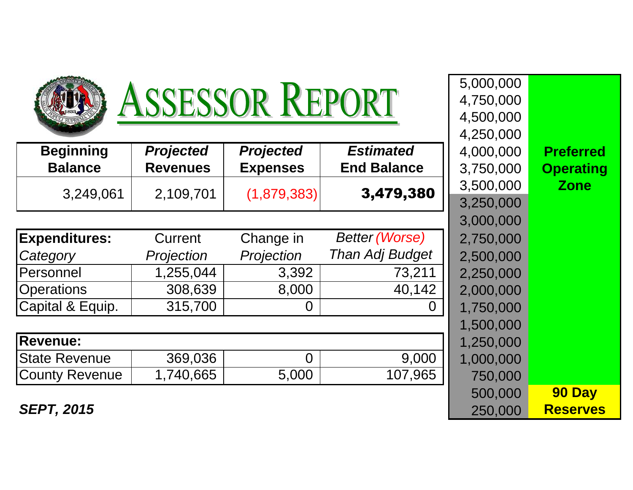| ASSESSOR REPORT       |                  |                  |                        |           |                  |
|-----------------------|------------------|------------------|------------------------|-----------|------------------|
|                       |                  |                  |                        | 4,500,000 |                  |
|                       |                  |                  |                        | 4,250,000 |                  |
| <b>Beginning</b>      | <b>Projected</b> | <b>Projected</b> | <b>Estimated</b>       | 4,000,000 | <b>Preferred</b> |
| <b>Balance</b>        | <b>Revenues</b>  | <b>Expenses</b>  | <b>End Balance</b>     | 3,750,000 | <b>Operating</b> |
| 3,249,061             | 2,109,701        |                  | 3,479,380              | 3,500,000 | <b>Zone</b>      |
|                       |                  | (1,879,383)      |                        | 3,250,000 |                  |
|                       |                  |                  |                        | 3,000,000 |                  |
| <b>Expenditures:</b>  | Current          | Change in        | <b>Better (Worse)</b>  | 2,750,000 |                  |
| Category              | Projection       | Projection       | <b>Than Adj Budget</b> | 2,500,000 |                  |
| Personnel             | 1,255,044        | 3,392            | 73,211                 | 2,250,000 |                  |
| <b>Operations</b>     | 308,639          | 8,000            | 40,142                 | 2,000,000 |                  |
| Capital & Equip.      | 315,700          | $\overline{0}$   |                        | 1,750,000 |                  |
|                       |                  |                  |                        | 1,500,000 |                  |
| <b>Revenue:</b>       |                  |                  |                        | 1,250,000 |                  |
| <b>State Revenue</b>  | 369,036          | 0                | 9,000                  | 1,000,000 |                  |
| <b>County Revenue</b> | 1,740,665        | 5,000            | 107,965                | 750,000   |                  |
|                       |                  |                  |                        | 500,000   | 90 Day           |
| <b>SEPT, 2015</b>     |                  |                  |                        | 250,000   | <b>Reserves</b>  |